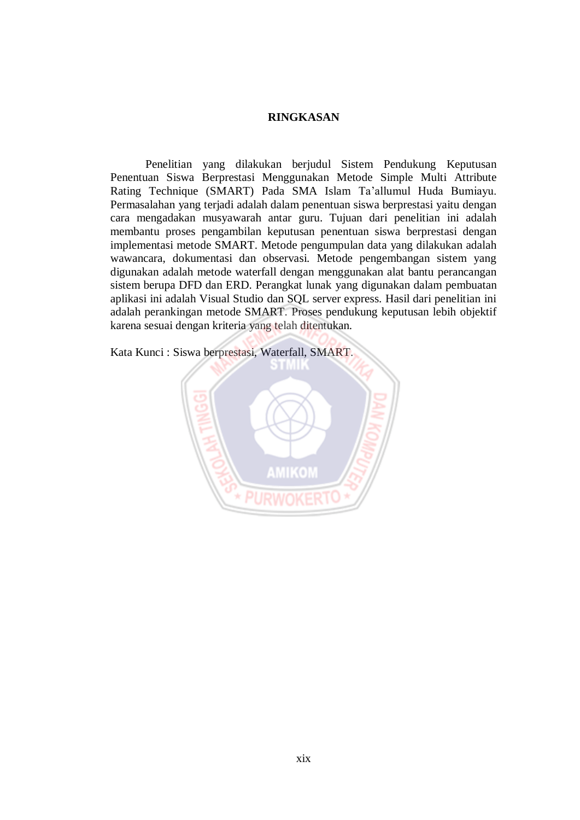## **RINGKASAN**

Penelitian yang dilakukan berjudul Sistem Pendukung Keputusan Penentuan Siswa Berprestasi Menggunakan Metode Simple Multi Attribute Rating Technique (SMART) Pada SMA Islam Ta'allumul Huda Bumiayu. Permasalahan yang terjadi adalah dalam penentuan siswa berprestasi yaitu dengan cara mengadakan musyawarah antar guru. Tujuan dari penelitian ini adalah membantu proses pengambilan keputusan penentuan siswa berprestasi dengan implementasi metode SMART. Metode pengumpulan data yang dilakukan adalah wawancara, dokumentasi dan observasi. Metode pengembangan sistem yang digunakan adalah metode waterfall dengan menggunakan alat bantu perancangan sistem berupa DFD dan ERD. Perangkat lunak yang digunakan dalam pembuatan aplikasi ini adalah Visual Studio dan SQL server express. Hasil dari penelitian ini adalah perankingan metode SMART. Proses pendukung keputusan lebih objektif karena sesuai dengan kriteria yang telah ditentukan.

Kata Kunci : Siswa berprestasi, Waterfall, SMART.